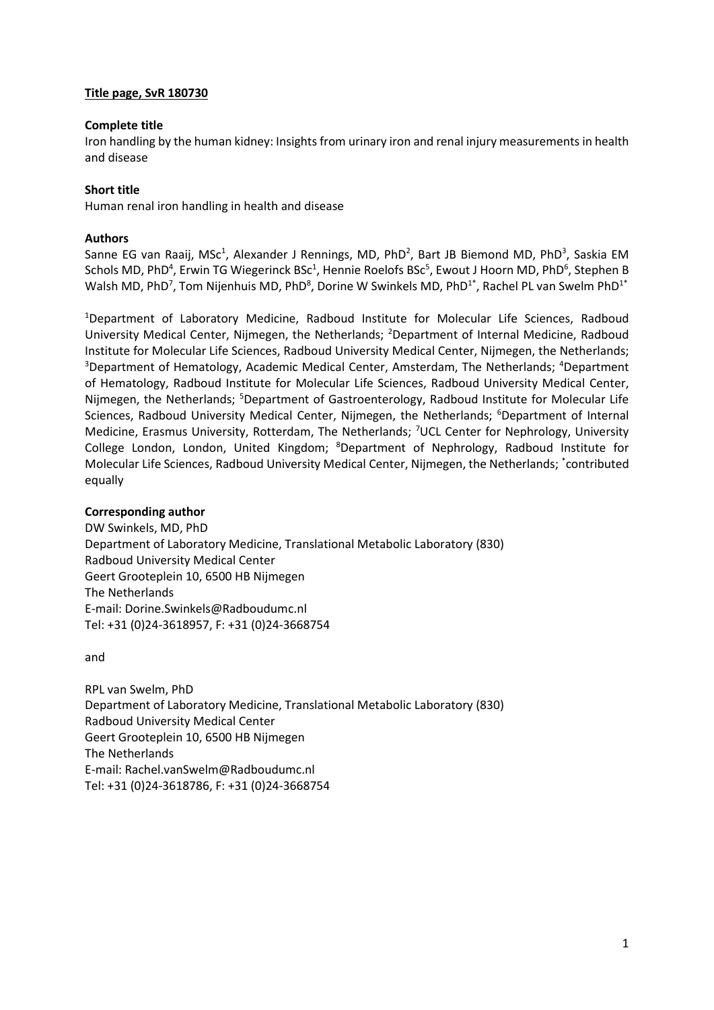# **Title page, SvR 180730**

## **Complete title**

Iron handling by the human kidney: Insights from urinary iron and renal injury measurements in health and disease

## **Short title**

Human renal iron handling in health and disease

## **Authors**

Sanne EG van Raaij, MSc<sup>1</sup>, Alexander J Rennings, MD, PhD<sup>2</sup>, Bart JB Biemond MD, PhD<sup>3</sup>, Saskia EM Schols MD, PhD<sup>4</sup>, Erwin TG Wiegerinck BSc<sup>1</sup>, Hennie Roelofs BSc<sup>5</sup>, Ewout J Hoorn MD, PhD<sup>6</sup>, Stephen B Walsh MD, PhD<sup>7</sup>, Tom Nijenhuis MD, PhD<sup>8</sup>, Dorine W Swinkels MD, PhD<sup>1\*</sup>, Rachel PL van Swelm PhD<sup>1\*</sup>

<sup>1</sup>Department of Laboratory Medicine, Radboud Institute for Molecular Life Sciences, Radboud University Medical Center, Nijmegen, the Netherlands; <sup>2</sup>Department of Internal Medicine, Radboud Institute for Molecular Life Sciences, Radboud University Medical Center, Nijmegen, the Netherlands; <sup>3</sup>Department of Hematology, Academic Medical Center, Amsterdam, The Netherlands; <sup>4</sup>Department of Hematology, Radboud Institute for Molecular Life Sciences, Radboud University Medical Center, Nijmegen, the Netherlands; <sup>5</sup>Department of Gastroenterology, Radboud Institute for Molecular Life Sciences, Radboud University Medical Center, Nijmegen, the Netherlands; <sup>6</sup>Department of Internal Medicine, Erasmus University, Rotterdam, The Netherlands; <sup>7</sup>UCL Center for Nephrology, University College London, London, United Kingdom; <sup>8</sup>Department of Nephrology, Radboud Institute for Molecular Life Sciences, Radboud University Medical Center, Nijmegen, the Netherlands; \* contributed equally

## **Corresponding author**

DW Swinkels, MD, PhD Department of Laboratory Medicine, Translational Metabolic Laboratory (830) Radboud University Medical Center Geert Grooteplein 10, 6500 HB Nijmegen The Netherlands E-mail: Dorine.Swinkels@Radboudumc.nl Tel: +31 (0)24-3618957, F: +31 (0)24-3668754

and

RPL van Swelm, PhD Department of Laboratory Medicine, Translational Metabolic Laboratory (830) Radboud University Medical Center Geert Grooteplein 10, 6500 HB Nijmegen The Netherlands E-mail: Rachel.vanSwelm@Radboudumc.nl Tel: +31 (0)24-3618786, F: +31 (0)24-3668754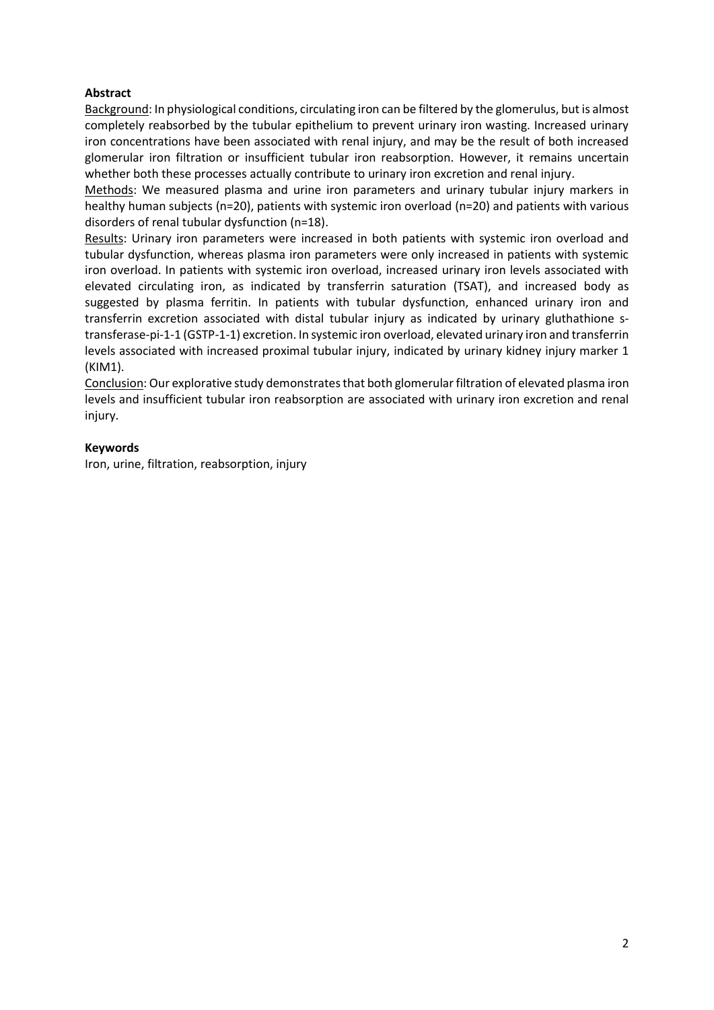# **Abstract**

Background: In physiological conditions, circulating iron can be filtered by the glomerulus, but is almost completely reabsorbed by the tubular epithelium to prevent urinary iron wasting. Increased urinary iron concentrations have been associated with renal injury, and may be the result of both increased glomerular iron filtration or insufficient tubular iron reabsorption. However, it remains uncertain whether both these processes actually contribute to urinary iron excretion and renal injury.

Methods: We measured plasma and urine iron parameters and urinary tubular injury markers in healthy human subjects (n=20), patients with systemic iron overload (n=20) and patients with various disorders of renal tubular dysfunction (n=18).

Results: Urinary iron parameters were increased in both patients with systemic iron overload and tubular dysfunction, whereas plasma iron parameters were only increased in patients with systemic iron overload. In patients with systemic iron overload, increased urinary iron levels associated with elevated circulating iron, as indicated by transferrin saturation (TSAT), and increased body as suggested by plasma ferritin. In patients with tubular dysfunction, enhanced urinary iron and transferrin excretion associated with distal tubular injury as indicated by urinary gluthathione stransferase-pi-1-1 (GSTP-1-1) excretion. In systemic iron overload, elevated urinary iron and transferrin levels associated with increased proximal tubular injury, indicated by urinary kidney injury marker 1 (KIM1).

Conclusion: Our explorative study demonstrates that both glomerular filtration of elevated plasma iron levels and insufficient tubular iron reabsorption are associated with urinary iron excretion and renal injury.

## **Keywords**

Iron, urine, filtration, reabsorption, injury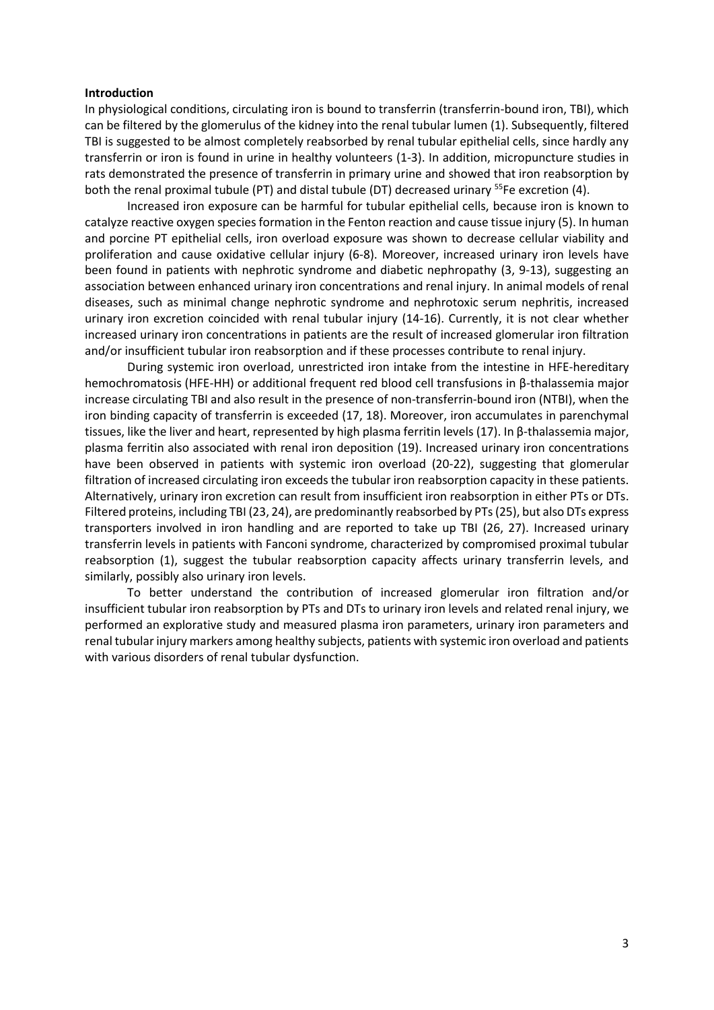#### **Introduction**

In physiological conditions, circulating iron is bound to transferrin (transferrin-bound iron, TBI), which can be filtered by the glomerulus of the kidney into the renal tubular lumen (1). Subsequently, filtered TBI is suggested to be almost completely reabsorbed by renal tubular epithelial cells, since hardly any transferrin or iron is found in urine in healthy volunteers (1-3). In addition, micropuncture studies in rats demonstrated the presence of transferrin in primary urine and showed that iron reabsorption by both the renal proximal tubule (PT) and distal tubule (DT) decreased urinary <sup>55</sup>Fe excretion (4).

Increased iron exposure can be harmful for tubular epithelial cells, because iron is known to catalyze reactive oxygen species formation in the Fenton reaction and cause tissue injury (5). In human and porcine PT epithelial cells, iron overload exposure was shown to decrease cellular viability and proliferation and cause oxidative cellular injury (6-8). Moreover, increased urinary iron levels have been found in patients with nephrotic syndrome and diabetic nephropathy (3, 9-13), suggesting an association between enhanced urinary iron concentrations and renal injury. In animal models of renal diseases, such as minimal change nephrotic syndrome and nephrotoxic serum nephritis, increased urinary iron excretion coincided with renal tubular injury (14-16). Currently, it is not clear whether increased urinary iron concentrations in patients are the result of increased glomerular iron filtration and/or insufficient tubular iron reabsorption and if these processes contribute to renal injury.

During systemic iron overload, unrestricted iron intake from the intestine in HFE-hereditary hemochromatosis (HFE-HH) or additional frequent red blood cell transfusions in β-thalassemia major increase circulating TBI and also result in the presence of non-transferrin-bound iron (NTBI), when the iron binding capacity of transferrin is exceeded (17, 18). Moreover, iron accumulates in parenchymal tissues, like the liver and heart, represented by high plasma ferritin levels (17). In β-thalassemia major, plasma ferritin also associated with renal iron deposition (19). Increased urinary iron concentrations have been observed in patients with systemic iron overload (20-22), suggesting that glomerular filtration of increased circulating iron exceeds the tubular iron reabsorption capacity in these patients. Alternatively, urinary iron excretion can result from insufficient iron reabsorption in either PTs or DTs. Filtered proteins, including TBI (23, 24), are predominantly reabsorbed by PTs (25), but also DTs express transporters involved in iron handling and are reported to take up TBI (26, 27). Increased urinary transferrin levels in patients with Fanconi syndrome, characterized by compromised proximal tubular reabsorption (1), suggest the tubular reabsorption capacity affects urinary transferrin levels, and similarly, possibly also urinary iron levels.

To better understand the contribution of increased glomerular iron filtration and/or insufficient tubular iron reabsorption by PTs and DTs to urinary iron levels and related renal injury, we performed an explorative study and measured plasma iron parameters, urinary iron parameters and renal tubular injury markers among healthy subjects, patients with systemic iron overload and patients with various disorders of renal tubular dysfunction.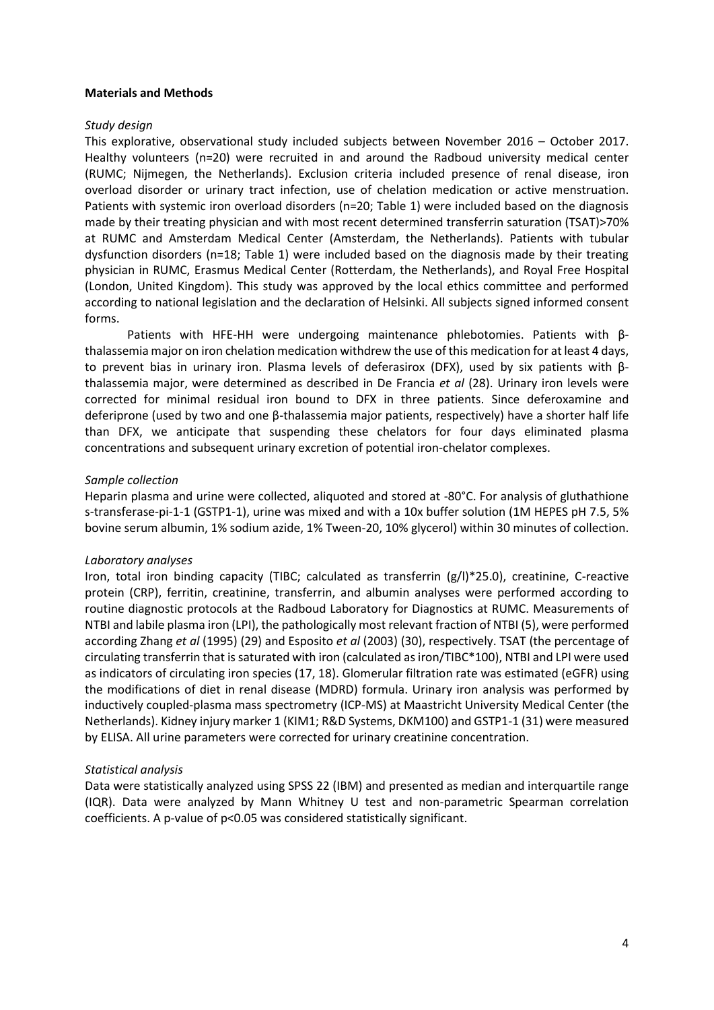#### **Materials and Methods**

## *Study design*

This explorative, observational study included subjects between November 2016 – October 2017. Healthy volunteers (n=20) were recruited in and around the Radboud university medical center (RUMC; Nijmegen, the Netherlands). Exclusion criteria included presence of renal disease, iron overload disorder or urinary tract infection, use of chelation medication or active menstruation. Patients with systemic iron overload disorders (n=20; Table 1) were included based on the diagnosis made by their treating physician and with most recent determined transferrin saturation (TSAT)>70% at RUMC and Amsterdam Medical Center (Amsterdam, the Netherlands). Patients with tubular dysfunction disorders (n=18; Table 1) were included based on the diagnosis made by their treating physician in RUMC, Erasmus Medical Center (Rotterdam, the Netherlands), and Royal Free Hospital (London, United Kingdom). This study was approved by the local ethics committee and performed according to national legislation and the declaration of Helsinki. All subjects signed informed consent forms.

Patients with HFE-HH were undergoing maintenance phlebotomies. Patients with βthalassemia major on iron chelation medication withdrew the use of this medication for at least 4 days, to prevent bias in urinary iron. Plasma levels of deferasirox (DFX), used by six patients with βthalassemia major, were determined as described in De Francia *et al* (28). Urinary iron levels were corrected for minimal residual iron bound to DFX in three patients. Since deferoxamine and deferiprone (used by two and one β-thalassemia major patients, respectively) have a shorter half life than DFX, we anticipate that suspending these chelators for four days eliminated plasma concentrations and subsequent urinary excretion of potential iron-chelator complexes.

### *Sample collection*

Heparin plasma and urine were collected, aliquoted and stored at -80°C. For analysis of gluthathione s-transferase-pi-1-1 (GSTP1-1), urine was mixed and with a 10x buffer solution (1M HEPES pH 7.5, 5% bovine serum albumin, 1% sodium azide, 1% Tween-20, 10% glycerol) within 30 minutes of collection.

## *Laboratory analyses*

Iron, total iron binding capacity (TIBC; calculated as transferrin (g/l)\*25.0), creatinine, C-reactive protein (CRP), ferritin, creatinine, transferrin, and albumin analyses were performed according to routine diagnostic protocols at the Radboud Laboratory for Diagnostics at RUMC. Measurements of NTBI and labile plasma iron (LPI), the pathologically most relevant fraction of NTBI (5), were performed according Zhang *et al* (1995) (29) and Esposito *et al* (2003) (30), respectively. TSAT (the percentage of circulating transferrin that is saturated with iron (calculated as iron/TIBC\*100), NTBI and LPI were used as indicators of circulating iron species (17, 18). Glomerular filtration rate was estimated (eGFR) using the modifications of diet in renal disease (MDRD) formula. Urinary iron analysis was performed by inductively coupled-plasma mass spectrometry (ICP-MS) at Maastricht University Medical Center (the Netherlands). Kidney injury marker 1 (KIM1; R&D Systems, DKM100) and GSTP1-1 (31) were measured by ELISA. All urine parameters were corrected for urinary creatinine concentration.

## *Statistical analysis*

Data were statistically analyzed using SPSS 22 (IBM) and presented as median and interquartile range (IQR). Data were analyzed by Mann Whitney U test and non-parametric Spearman correlation coefficients. A p-value of p<0.05 was considered statistically significant.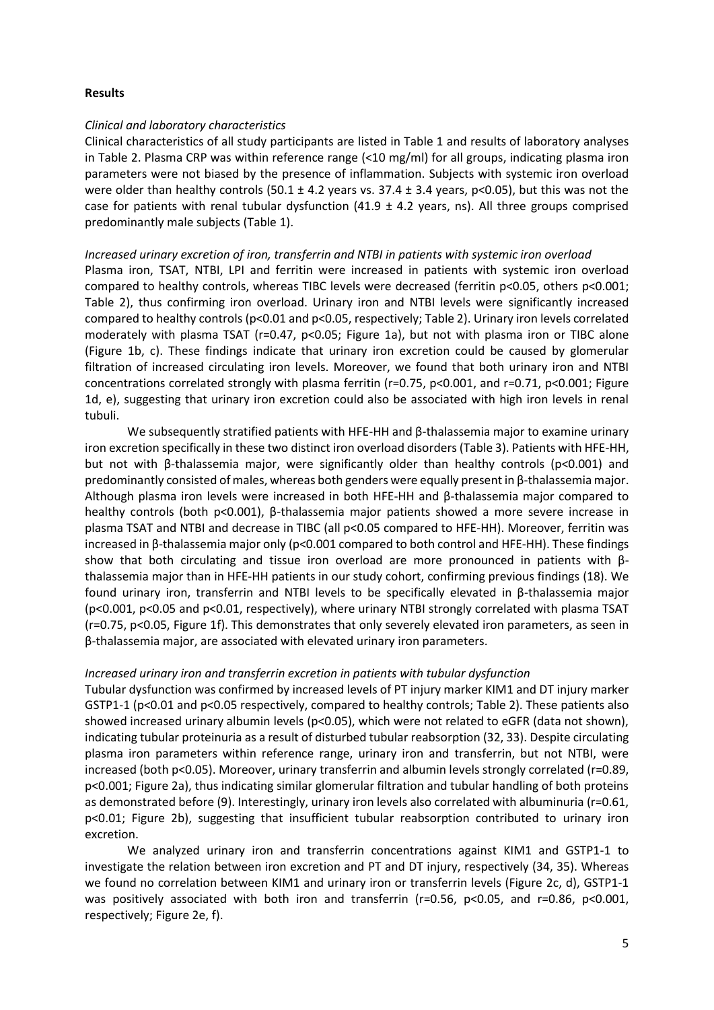## **Results**

### *Clinical and laboratory characteristics*

Clinical characteristics of all study participants are listed in Table 1 and results of laboratory analyses in Table 2. Plasma CRP was within reference range (<10 mg/ml) for all groups, indicating plasma iron parameters were not biased by the presence of inflammation. Subjects with systemic iron overload were older than healthy controls (50.1  $\pm$  4.2 years vs. 37.4  $\pm$  3.4 years, p<0.05), but this was not the case for patients with renal tubular dysfunction (41.9  $\pm$  4.2 years, ns). All three groups comprised predominantly male subjects (Table 1).

#### *Increased urinary excretion of iron, transferrin and NTBI in patients with systemic iron overload*

Plasma iron, TSAT, NTBI, LPI and ferritin were increased in patients with systemic iron overload compared to healthy controls, whereas TIBC levels were decreased (ferritin p<0.05, others p<0.001; Table 2), thus confirming iron overload. Urinary iron and NTBI levels were significantly increased compared to healthy controls (p<0.01 and p<0.05, respectively; Table 2). Urinary iron levels correlated moderately with plasma TSAT (r=0.47, p<0.05; Figure 1a), but not with plasma iron or TIBC alone (Figure 1b, c). These findings indicate that urinary iron excretion could be caused by glomerular filtration of increased circulating iron levels. Moreover, we found that both urinary iron and NTBI concentrations correlated strongly with plasma ferritin (r=0.75, p<0.001, and r=0.71, p<0.001; Figure 1d, e), suggesting that urinary iron excretion could also be associated with high iron levels in renal tubuli.

We subsequently stratified patients with HFE-HH and β-thalassemia major to examine urinary iron excretion specifically in these two distinct iron overload disorders (Table 3). Patients with HFE-HH, but not with β-thalassemia major, were significantly older than healthy controls (p<0.001) and predominantly consisted of males, whereas both genders were equally present in β-thalassemia major. Although plasma iron levels were increased in both HFE-HH and β-thalassemia major compared to healthy controls (both p<0.001), β-thalassemia major patients showed a more severe increase in plasma TSAT and NTBI and decrease in TIBC (all p<0.05 compared to HFE-HH). Moreover, ferritin was increased in β-thalassemia major only (p<0.001 compared to both control and HFE-HH). These findings show that both circulating and tissue iron overload are more pronounced in patients with βthalassemia major than in HFE-HH patients in our study cohort, confirming previous findings (18). We found urinary iron, transferrin and NTBI levels to be specifically elevated in β-thalassemia major (p<0.001, p<0.05 and p<0.01, respectively), where urinary NTBI strongly correlated with plasma TSAT (r=0.75, p<0.05, Figure 1f). This demonstrates that only severely elevated iron parameters, as seen in β-thalassemia major, are associated with elevated urinary iron parameters.

## *Increased urinary iron and transferrin excretion in patients with tubular dysfunction*

Tubular dysfunction was confirmed by increased levels of PT injury marker KIM1 and DT injury marker GSTP1-1 (p<0.01 and p<0.05 respectively, compared to healthy controls; Table 2). These patients also showed increased urinary albumin levels (p<0.05), which were not related to eGFR (data not shown), indicating tubular proteinuria as a result of disturbed tubular reabsorption (32, 33). Despite circulating plasma iron parameters within reference range, urinary iron and transferrin, but not NTBI, were increased (both p<0.05). Moreover, urinary transferrin and albumin levels strongly correlated (r=0.89, p<0.001; Figure 2a), thus indicating similar glomerular filtration and tubular handling of both proteins as demonstrated before (9). Interestingly, urinary iron levels also correlated with albuminuria (r=0.61, p<0.01; Figure 2b), suggesting that insufficient tubular reabsorption contributed to urinary iron excretion.

We analyzed urinary iron and transferrin concentrations against KIM1 and GSTP1-1 to investigate the relation between iron excretion and PT and DT injury, respectively (34, 35). Whereas we found no correlation between KIM1 and urinary iron or transferrin levels (Figure 2c, d), GSTP1-1 was positively associated with both iron and transferrin (r=0.56, p<0.05, and r=0.86, p<0.001, respectively; Figure 2e, f).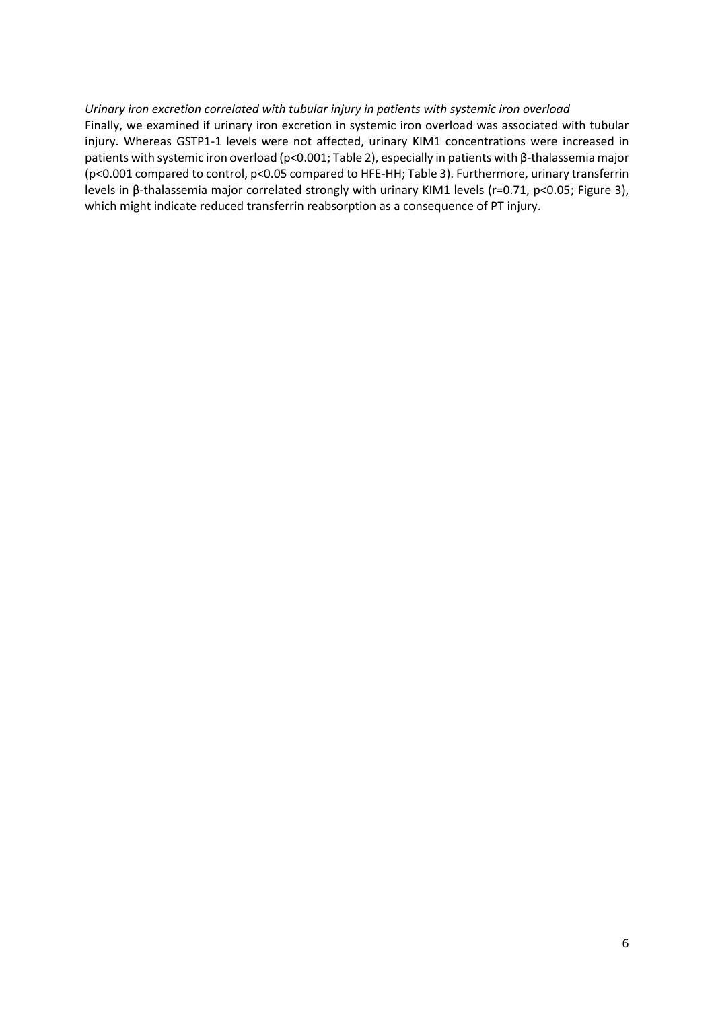## *Urinary iron excretion correlated with tubular injury in patients with systemic iron overload*

Finally, we examined if urinary iron excretion in systemic iron overload was associated with tubular injury. Whereas GSTP1-1 levels were not affected, urinary KIM1 concentrations were increased in patients with systemic iron overload (p<0.001; Table 2), especially in patients with β-thalassemia major (p<0.001 compared to control, p<0.05 compared to HFE-HH; Table 3). Furthermore, urinary transferrin levels in β-thalassemia major correlated strongly with urinary KIM1 levels (r=0.71, p<0.05; Figure 3), which might indicate reduced transferrin reabsorption as a consequence of PT injury.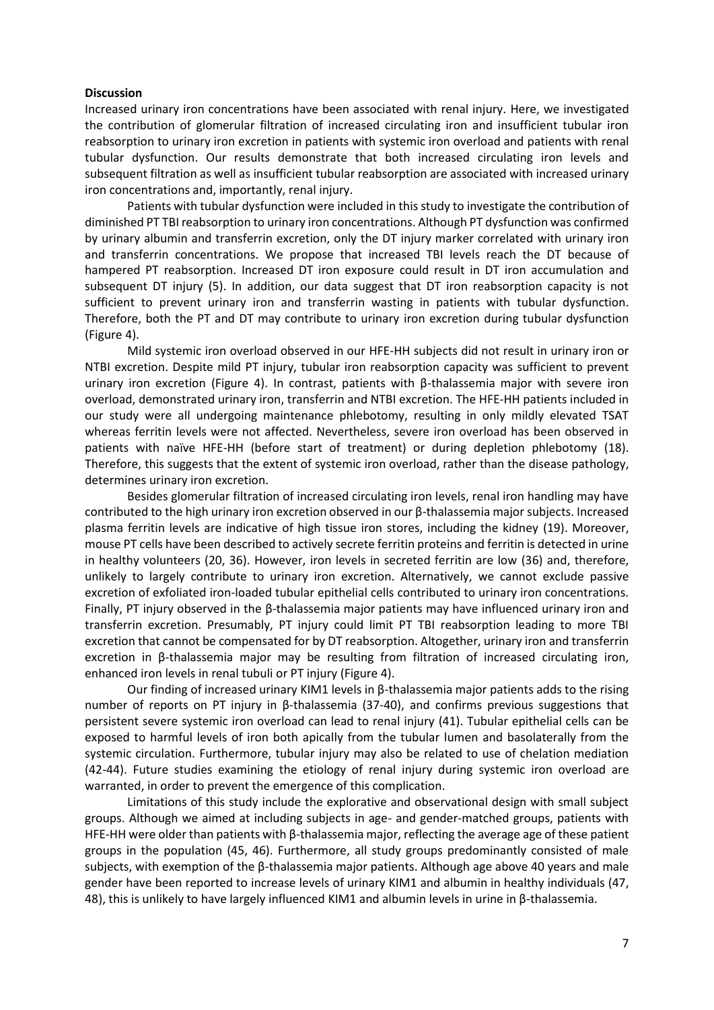#### **Discussion**

Increased urinary iron concentrations have been associated with renal injury. Here, we investigated the contribution of glomerular filtration of increased circulating iron and insufficient tubular iron reabsorption to urinary iron excretion in patients with systemic iron overload and patients with renal tubular dysfunction. Our results demonstrate that both increased circulating iron levels and subsequent filtration as well as insufficient tubular reabsorption are associated with increased urinary iron concentrations and, importantly, renal injury.

Patients with tubular dysfunction were included in this study to investigate the contribution of diminished PT TBI reabsorption to urinary iron concentrations. Although PT dysfunction was confirmed by urinary albumin and transferrin excretion, only the DT injury marker correlated with urinary iron and transferrin concentrations. We propose that increased TBI levels reach the DT because of hampered PT reabsorption. Increased DT iron exposure could result in DT iron accumulation and subsequent DT injury (5). In addition, our data suggest that DT iron reabsorption capacity is not sufficient to prevent urinary iron and transferrin wasting in patients with tubular dysfunction. Therefore, both the PT and DT may contribute to urinary iron excretion during tubular dysfunction (Figure 4).

Mild systemic iron overload observed in our HFE-HH subjects did not result in urinary iron or NTBI excretion. Despite mild PT injury, tubular iron reabsorption capacity was sufficient to prevent urinary iron excretion (Figure 4). In contrast, patients with β-thalassemia major with severe iron overload, demonstrated urinary iron, transferrin and NTBI excretion. The HFE-HH patients included in our study were all undergoing maintenance phlebotomy, resulting in only mildly elevated TSAT whereas ferritin levels were not affected. Nevertheless, severe iron overload has been observed in patients with naïve HFE-HH (before start of treatment) or during depletion phlebotomy (18). Therefore, this suggests that the extent of systemic iron overload, rather than the disease pathology, determines urinary iron excretion.

Besides glomerular filtration of increased circulating iron levels, renal iron handling may have contributed to the high urinary iron excretion observed in our β-thalassemia major subjects. Increased plasma ferritin levels are indicative of high tissue iron stores, including the kidney (19). Moreover, mouse PT cells have been described to actively secrete ferritin proteins and ferritin is detected in urine in healthy volunteers (20, 36). However, iron levels in secreted ferritin are low (36) and, therefore, unlikely to largely contribute to urinary iron excretion. Alternatively, we cannot exclude passive excretion of exfoliated iron-loaded tubular epithelial cells contributed to urinary iron concentrations. Finally, PT injury observed in the β-thalassemia major patients may have influenced urinary iron and transferrin excretion. Presumably, PT injury could limit PT TBI reabsorption leading to more TBI excretion that cannot be compensated for by DT reabsorption. Altogether, urinary iron and transferrin excretion in β-thalassemia major may be resulting from filtration of increased circulating iron, enhanced iron levels in renal tubuli or PT injury (Figure 4).

Our finding of increased urinary KIM1 levels in β-thalassemia major patients adds to the rising number of reports on PT injury in β-thalassemia (37-40), and confirms previous suggestions that persistent severe systemic iron overload can lead to renal injury (41). Tubular epithelial cells can be exposed to harmful levels of iron both apically from the tubular lumen and basolaterally from the systemic circulation. Furthermore, tubular injury may also be related to use of chelation mediation (42-44). Future studies examining the etiology of renal injury during systemic iron overload are warranted, in order to prevent the emergence of this complication.

Limitations of this study include the explorative and observational design with small subject groups. Although we aimed at including subjects in age- and gender-matched groups, patients with HFE-HH were older than patients with β-thalassemia major, reflecting the average age of these patient groups in the population (45, 46). Furthermore, all study groups predominantly consisted of male subjects, with exemption of the β-thalassemia major patients. Although age above 40 years and male gender have been reported to increase levels of urinary KIM1 and albumin in healthy individuals (47, 48), this is unlikely to have largely influenced KIM1 and albumin levels in urine in β-thalassemia.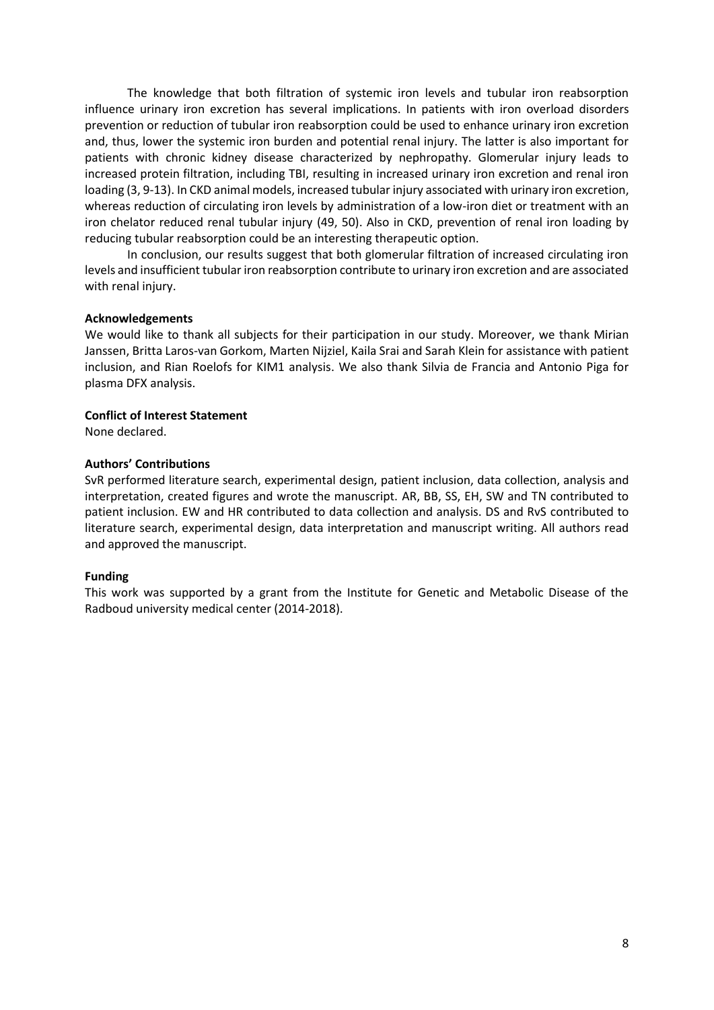The knowledge that both filtration of systemic iron levels and tubular iron reabsorption influence urinary iron excretion has several implications. In patients with iron overload disorders prevention or reduction of tubular iron reabsorption could be used to enhance urinary iron excretion and, thus, lower the systemic iron burden and potential renal injury. The latter is also important for patients with chronic kidney disease characterized by nephropathy. Glomerular injury leads to increased protein filtration, including TBI, resulting in increased urinary iron excretion and renal iron loading (3, 9-13). In CKD animal models, increased tubular injury associated with urinary iron excretion, whereas reduction of circulating iron levels by administration of a low-iron diet or treatment with an iron chelator reduced renal tubular injury (49, 50). Also in CKD, prevention of renal iron loading by reducing tubular reabsorption could be an interesting therapeutic option.

In conclusion, our results suggest that both glomerular filtration of increased circulating iron levels and insufficient tubular iron reabsorption contribute to urinary iron excretion and are associated with renal injury.

#### **Acknowledgements**

We would like to thank all subjects for their participation in our study. Moreover, we thank Mirian Janssen, Britta Laros-van Gorkom, Marten Nijziel, Kaila Srai and Sarah Klein for assistance with patient inclusion, and Rian Roelofs for KIM1 analysis. We also thank Silvia de Francia and Antonio Piga for plasma DFX analysis.

#### **Conflict of Interest Statement**

None declared.

#### **Authors' Contributions**

SvR performed literature search, experimental design, patient inclusion, data collection, analysis and interpretation, created figures and wrote the manuscript. AR, BB, SS, EH, SW and TN contributed to patient inclusion. EW and HR contributed to data collection and analysis. DS and RvS contributed to literature search, experimental design, data interpretation and manuscript writing. All authors read and approved the manuscript.

#### **Funding**

This work was supported by a grant from the Institute for Genetic and Metabolic Disease of the Radboud university medical center (2014-2018).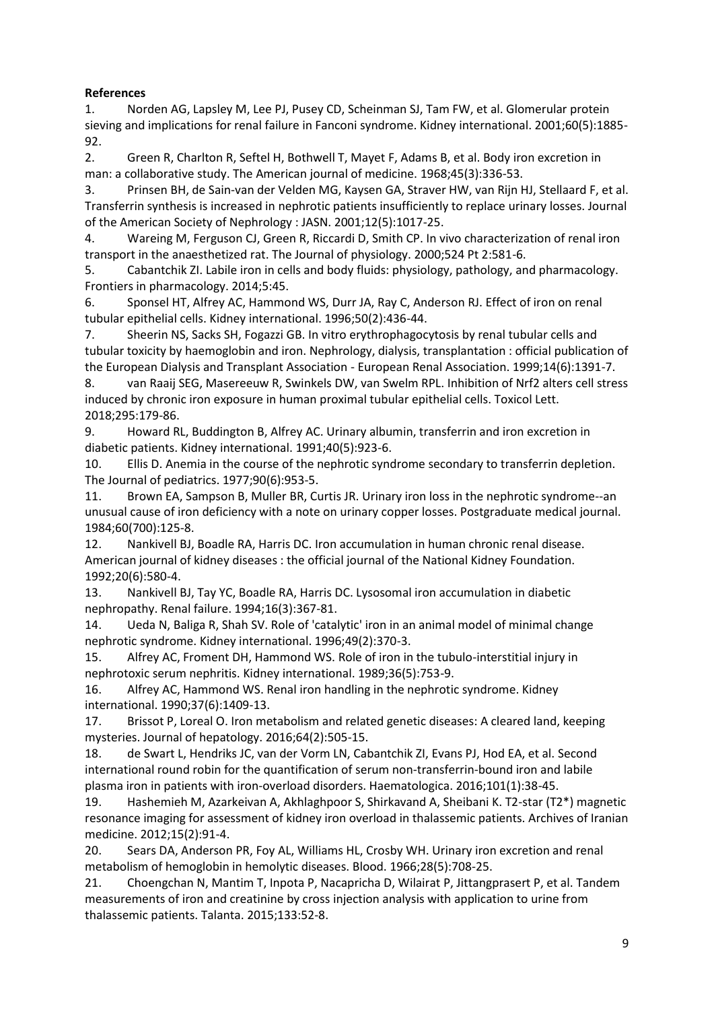# **References**

1. Norden AG, Lapsley M, Lee PJ, Pusey CD, Scheinman SJ, Tam FW, et al. Glomerular protein sieving and implications for renal failure in Fanconi syndrome. Kidney international. 2001;60(5):1885- 92.

2. Green R, Charlton R, Seftel H, Bothwell T, Mayet F, Adams B, et al. Body iron excretion in man: a collaborative study. The American journal of medicine. 1968;45(3):336-53.

3. Prinsen BH, de Sain-van der Velden MG, Kaysen GA, Straver HW, van Rijn HJ, Stellaard F, et al. Transferrin synthesis is increased in nephrotic patients insufficiently to replace urinary losses. Journal of the American Society of Nephrology : JASN. 2001;12(5):1017-25.

4. Wareing M, Ferguson CJ, Green R, Riccardi D, Smith CP. In vivo characterization of renal iron transport in the anaesthetized rat. The Journal of physiology. 2000;524 Pt 2:581-6.

5. Cabantchik ZI. Labile iron in cells and body fluids: physiology, pathology, and pharmacology. Frontiers in pharmacology. 2014;5:45.

6. Sponsel HT, Alfrey AC, Hammond WS, Durr JA, Ray C, Anderson RJ. Effect of iron on renal tubular epithelial cells. Kidney international. 1996;50(2):436-44.

7. Sheerin NS, Sacks SH, Fogazzi GB. In vitro erythrophagocytosis by renal tubular cells and tubular toxicity by haemoglobin and iron. Nephrology, dialysis, transplantation : official publication of the European Dialysis and Transplant Association - European Renal Association. 1999;14(6):1391-7.

8. van Raaij SEG, Masereeuw R, Swinkels DW, van Swelm RPL. Inhibition of Nrf2 alters cell stress induced by chronic iron exposure in human proximal tubular epithelial cells. Toxicol Lett. 2018;295:179-86.

9. Howard RL, Buddington B, Alfrey AC. Urinary albumin, transferrin and iron excretion in diabetic patients. Kidney international. 1991;40(5):923-6.

10. Ellis D. Anemia in the course of the nephrotic syndrome secondary to transferrin depletion. The Journal of pediatrics. 1977;90(6):953-5.

11. Brown EA, Sampson B, Muller BR, Curtis JR. Urinary iron loss in the nephrotic syndrome--an unusual cause of iron deficiency with a note on urinary copper losses. Postgraduate medical journal. 1984;60(700):125-8.

12. Nankivell BJ, Boadle RA, Harris DC. Iron accumulation in human chronic renal disease. American journal of kidney diseases : the official journal of the National Kidney Foundation. 1992;20(6):580-4.

13. Nankivell BJ, Tay YC, Boadle RA, Harris DC. Lysosomal iron accumulation in diabetic nephropathy. Renal failure. 1994;16(3):367-81.

14. Ueda N, Baliga R, Shah SV. Role of 'catalytic' iron in an animal model of minimal change nephrotic syndrome. Kidney international. 1996;49(2):370-3.

15. Alfrey AC, Froment DH, Hammond WS. Role of iron in the tubulo-interstitial injury in nephrotoxic serum nephritis. Kidney international. 1989;36(5):753-9.

16. Alfrey AC, Hammond WS. Renal iron handling in the nephrotic syndrome. Kidney international. 1990;37(6):1409-13.

17. Brissot P, Loreal O. Iron metabolism and related genetic diseases: A cleared land, keeping mysteries. Journal of hepatology. 2016;64(2):505-15.

18. de Swart L, Hendriks JC, van der Vorm LN, Cabantchik ZI, Evans PJ, Hod EA, et al. Second international round robin for the quantification of serum non-transferrin-bound iron and labile plasma iron in patients with iron-overload disorders. Haematologica. 2016;101(1):38-45.

19. Hashemieh M, Azarkeivan A, Akhlaghpoor S, Shirkavand A, Sheibani K. T2-star (T2\*) magnetic resonance imaging for assessment of kidney iron overload in thalassemic patients. Archives of Iranian medicine. 2012;15(2):91-4.

20. Sears DA, Anderson PR, Foy AL, Williams HL, Crosby WH. Urinary iron excretion and renal metabolism of hemoglobin in hemolytic diseases. Blood. 1966;28(5):708-25.

21. Choengchan N, Mantim T, Inpota P, Nacapricha D, Wilairat P, Jittangprasert P, et al. Tandem measurements of iron and creatinine by cross injection analysis with application to urine from thalassemic patients. Talanta. 2015;133:52-8.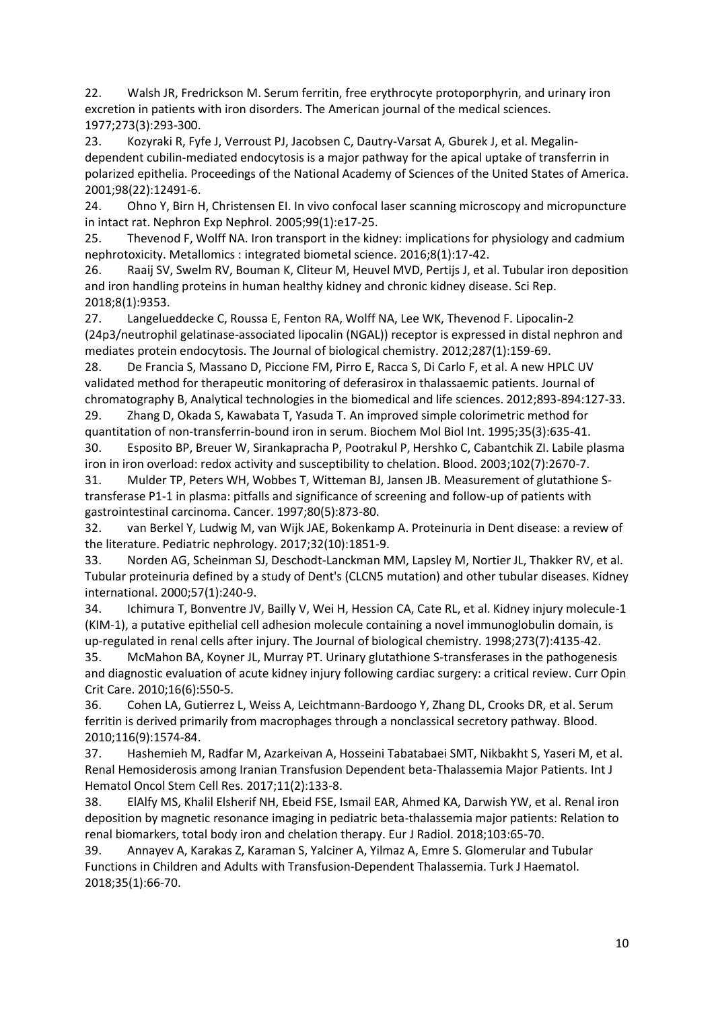22. Walsh JR, Fredrickson M. Serum ferritin, free erythrocyte protoporphyrin, and urinary iron excretion in patients with iron disorders. The American journal of the medical sciences. 1977;273(3):293-300.

23. Kozyraki R, Fyfe J, Verroust PJ, Jacobsen C, Dautry-Varsat A, Gburek J, et al. Megalindependent cubilin-mediated endocytosis is a major pathway for the apical uptake of transferrin in polarized epithelia. Proceedings of the National Academy of Sciences of the United States of America. 2001;98(22):12491-6.

24. Ohno Y, Birn H, Christensen EI. In vivo confocal laser scanning microscopy and micropuncture in intact rat. Nephron Exp Nephrol. 2005;99(1):e17-25.

25. Thevenod F, Wolff NA. Iron transport in the kidney: implications for physiology and cadmium nephrotoxicity. Metallomics : integrated biometal science. 2016;8(1):17-42.

26. Raaij SV, Swelm RV, Bouman K, Cliteur M, Heuvel MVD, Pertijs J, et al. Tubular iron deposition and iron handling proteins in human healthy kidney and chronic kidney disease. Sci Rep. 2018;8(1):9353.

27. Langelueddecke C, Roussa E, Fenton RA, Wolff NA, Lee WK, Thevenod F. Lipocalin-2 (24p3/neutrophil gelatinase-associated lipocalin (NGAL)) receptor is expressed in distal nephron and mediates protein endocytosis. The Journal of biological chemistry. 2012;287(1):159-69.

28. De Francia S, Massano D, Piccione FM, Pirro E, Racca S, Di Carlo F, et al. A new HPLC UV validated method for therapeutic monitoring of deferasirox in thalassaemic patients. Journal of chromatography B, Analytical technologies in the biomedical and life sciences. 2012;893-894:127-33.

29. Zhang D, Okada S, Kawabata T, Yasuda T. An improved simple colorimetric method for quantitation of non-transferrin-bound iron in serum. Biochem Mol Biol Int. 1995;35(3):635-41.

30. Esposito BP, Breuer W, Sirankapracha P, Pootrakul P, Hershko C, Cabantchik ZI. Labile plasma iron in iron overload: redox activity and susceptibility to chelation. Blood. 2003;102(7):2670-7.

31. Mulder TP, Peters WH, Wobbes T, Witteman BJ, Jansen JB. Measurement of glutathione Stransferase P1-1 in plasma: pitfalls and significance of screening and follow-up of patients with gastrointestinal carcinoma. Cancer. 1997;80(5):873-80.

32. van Berkel Y, Ludwig M, van Wijk JAE, Bokenkamp A. Proteinuria in Dent disease: a review of the literature. Pediatric nephrology. 2017;32(10):1851-9.

33. Norden AG, Scheinman SJ, Deschodt-Lanckman MM, Lapsley M, Nortier JL, Thakker RV, et al. Tubular proteinuria defined by a study of Dent's (CLCN5 mutation) and other tubular diseases. Kidney international. 2000;57(1):240-9.

34. Ichimura T, Bonventre JV, Bailly V, Wei H, Hession CA, Cate RL, et al. Kidney injury molecule-1 (KIM-1), a putative epithelial cell adhesion molecule containing a novel immunoglobulin domain, is up-regulated in renal cells after injury. The Journal of biological chemistry. 1998;273(7):4135-42.

35. McMahon BA, Koyner JL, Murray PT. Urinary glutathione S-transferases in the pathogenesis and diagnostic evaluation of acute kidney injury following cardiac surgery: a critical review. Curr Opin Crit Care. 2010;16(6):550-5.

36. Cohen LA, Gutierrez L, Weiss A, Leichtmann-Bardoogo Y, Zhang DL, Crooks DR, et al. Serum ferritin is derived primarily from macrophages through a nonclassical secretory pathway. Blood. 2010;116(9):1574-84.

37. Hashemieh M, Radfar M, Azarkeivan A, Hosseini Tabatabaei SMT, Nikbakht S, Yaseri M, et al. Renal Hemosiderosis among Iranian Transfusion Dependent beta-Thalassemia Major Patients. Int J Hematol Oncol Stem Cell Res. 2017;11(2):133-8.

38. ElAlfy MS, Khalil Elsherif NH, Ebeid FSE, Ismail EAR, Ahmed KA, Darwish YW, et al. Renal iron deposition by magnetic resonance imaging in pediatric beta-thalassemia major patients: Relation to renal biomarkers, total body iron and chelation therapy. Eur J Radiol. 2018;103:65-70.

39. Annayev A, Karakas Z, Karaman S, Yalciner A, Yilmaz A, Emre S. Glomerular and Tubular Functions in Children and Adults with Transfusion-Dependent Thalassemia. Turk J Haematol. 2018;35(1):66-70.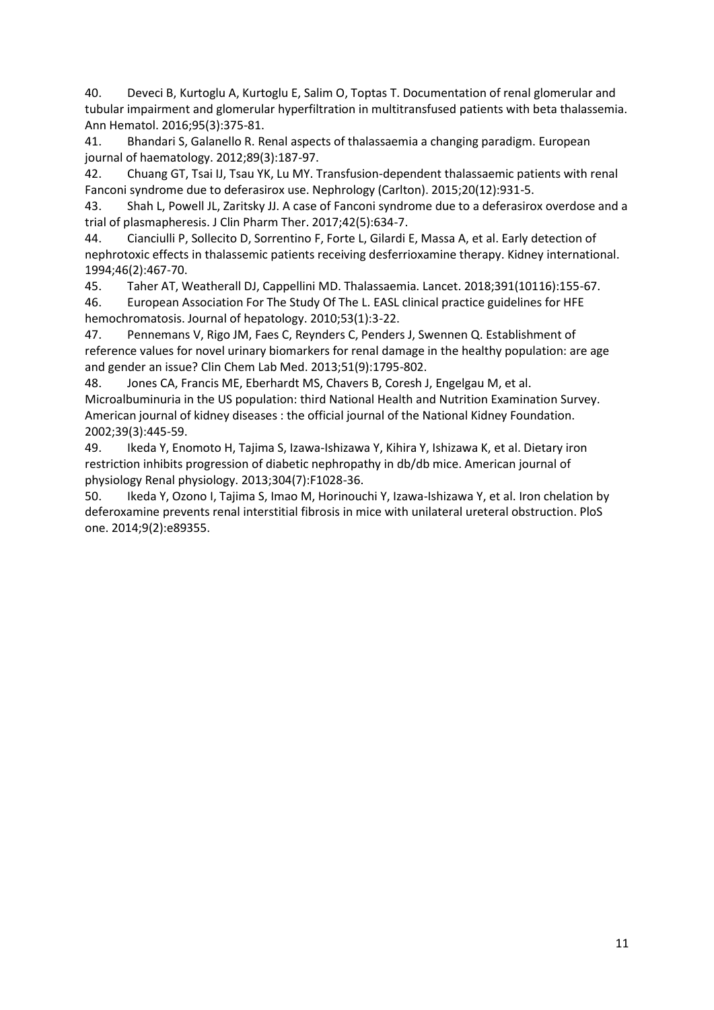40. Deveci B, Kurtoglu A, Kurtoglu E, Salim O, Toptas T. Documentation of renal glomerular and tubular impairment and glomerular hyperfiltration in multitransfused patients with beta thalassemia. Ann Hematol. 2016;95(3):375-81.

41. Bhandari S, Galanello R. Renal aspects of thalassaemia a changing paradigm. European journal of haematology. 2012;89(3):187-97.

42. Chuang GT, Tsai IJ, Tsau YK, Lu MY. Transfusion-dependent thalassaemic patients with renal Fanconi syndrome due to deferasirox use. Nephrology (Carlton). 2015;20(12):931-5.

43. Shah L, Powell JL, Zaritsky JJ. A case of Fanconi syndrome due to a deferasirox overdose and a trial of plasmapheresis. J Clin Pharm Ther. 2017;42(5):634-7.

44. Cianciulli P, Sollecito D, Sorrentino F, Forte L, Gilardi E, Massa A, et al. Early detection of nephrotoxic effects in thalassemic patients receiving desferrioxamine therapy. Kidney international. 1994;46(2):467-70.

45. Taher AT, Weatherall DJ, Cappellini MD. Thalassaemia. Lancet. 2018;391(10116):155-67.

46. European Association For The Study Of The L. EASL clinical practice guidelines for HFE hemochromatosis. Journal of hepatology. 2010;53(1):3-22.

47. Pennemans V, Rigo JM, Faes C, Reynders C, Penders J, Swennen Q. Establishment of reference values for novel urinary biomarkers for renal damage in the healthy population: are age and gender an issue? Clin Chem Lab Med. 2013;51(9):1795-802.

48. Jones CA, Francis ME, Eberhardt MS, Chavers B, Coresh J, Engelgau M, et al. Microalbuminuria in the US population: third National Health and Nutrition Examination Survey. American journal of kidney diseases : the official journal of the National Kidney Foundation. 2002;39(3):445-59.

49. Ikeda Y, Enomoto H, Tajima S, Izawa-Ishizawa Y, Kihira Y, Ishizawa K, et al. Dietary iron restriction inhibits progression of diabetic nephropathy in db/db mice. American journal of physiology Renal physiology. 2013;304(7):F1028-36.

50. Ikeda Y, Ozono I, Tajima S, Imao M, Horinouchi Y, Izawa-Ishizawa Y, et al. Iron chelation by deferoxamine prevents renal interstitial fibrosis in mice with unilateral ureteral obstruction. PloS one. 2014;9(2):e89355.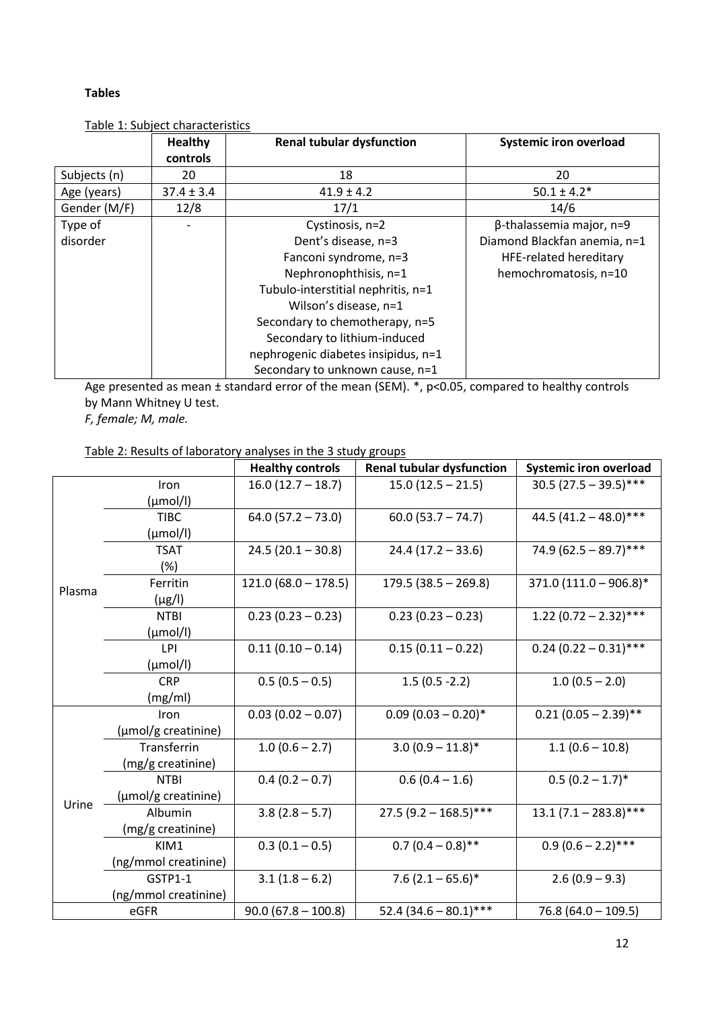# **Tables**

|              | <b>Healthy</b> | <b>Renal tubular dysfunction</b>    | <b>Systemic iron overload</b>   |
|--------------|----------------|-------------------------------------|---------------------------------|
|              | controls       |                                     |                                 |
| Subjects (n) | 20             | 18                                  | 20                              |
| Age (years)  | $37.4 \pm 3.4$ | $41.9 \pm 4.2$                      | $50.1 \pm 4.2*$                 |
| Gender (M/F) | 12/8           | 17/1                                | 14/6                            |
| Type of      |                | Cystinosis, n=2                     | $\beta$ -thalassemia major, n=9 |
| disorder     |                | Dent's disease, n=3                 | Diamond Blackfan anemia, n=1    |
|              |                | Fanconi syndrome, n=3               | <b>HFE-related hereditary</b>   |
|              |                | Nephronophthisis, n=1               | hemochromatosis, n=10           |
|              |                | Tubulo-interstitial nephritis, n=1  |                                 |
|              |                | Wilson's disease, n=1               |                                 |
|              |                | Secondary to chemotherapy, n=5      |                                 |
|              |                | Secondary to lithium-induced        |                                 |
|              |                | nephrogenic diabetes insipidus, n=1 |                                 |
|              |                | Secondary to unknown cause, n=1     |                                 |

Table 1: Subject characteristics

Age presented as mean ± standard error of the mean (SEM). \*, p<0.05, compared to healthy controls by Mann Whitney U test.

*F, female; M, male.* 

Table 2: Results of laboratory analyses in the 3 study groups

|        |                      | <b>Healthy controls</b> | <b>Renal tubular dysfunction</b> | <b>Systemic iron overload</b> |
|--------|----------------------|-------------------------|----------------------------------|-------------------------------|
|        | Iron                 | $16.0(12.7 - 18.7)$     | $15.0(12.5 - 21.5)$              | $30.5(27.5 - 39.5)$ ***       |
|        | $(\mu \text{mol/l})$ |                         |                                  |                               |
|        | <b>TIBC</b>          | $64.0(57.2 - 73.0)$     | $60.0(53.7 - 74.7)$              | 44.5 $(41.2 - 48.0)$ ***      |
|        | $(\mu \text{mol/l})$ |                         |                                  |                               |
|        | <b>TSAT</b>          | $24.5(20.1 - 30.8)$     | $24.4(17.2 - 33.6)$              | 74.9 $(62.5 - 89.7)$ ***      |
|        | (%)                  |                         |                                  |                               |
| Plasma | Ferritin             | $121.0(68.0 - 178.5)$   | $179.5(38.5 - 269.8)$            | $371.0 (111.0 - 906.8)^*$     |
|        | $(\mu g/I)$          |                         |                                  |                               |
|        | <b>NTBI</b>          | $0.23(0.23 - 0.23)$     | $0.23(0.23 - 0.23)$              | $1.22(0.72 - 2.32)$ ***       |
|        | $(\mu \text{mol/l})$ |                         |                                  |                               |
|        | LPI                  | $0.11(0.10 - 0.14)$     | $0.15(0.11 - 0.22)$              | $0.24(0.22 - 0.31)$ ***       |
|        | $(\mu \text{mol/l})$ |                         |                                  |                               |
|        | <b>CRP</b>           | $0.5(0.5 - 0.5)$        | $1.5(0.5 - 2.2)$                 | $1.0(0.5 - 2.0)$              |
|        | (mg/ml)              |                         |                                  |                               |
|        | Iron                 | $0.03(0.02 - 0.07)$     | $0.09(0.03 - 0.20)$ *            | $0.21(0.05 - 2.39)$ **        |
|        | (µmol/g creatinine)  |                         |                                  |                               |
|        | Transferrin          | $1.0(0.6 - 2.7)$        | $3.0(0.9 - 11.8)$ *              | $1.1(0.6 - 10.8)$             |
|        | (mg/g creatinine)    |                         |                                  |                               |
|        | <b>NTBI</b>          | $0.4(0.2 - 0.7)$        | $0.6(0.4 - 1.6)$                 | $0.5(0.2 - 1.7)^*$            |
| Urine  | (µmol/g creatinine)  |                         |                                  |                               |
|        | Albumin              | $3.8(2.8 - 5.7)$        | $27.5(9.2 - 168.5)$ ***          | $13.1(7.1 - 283.8)$ ***       |
|        | (mg/g creatinine)    |                         |                                  |                               |
|        | KIM1                 | $0.3(0.1 - 0.5)$        | $0.7(0.4-0.8)$ **                | $0.9(0.6-2.2)$ ***            |
|        | (ng/mmol creatinine) |                         |                                  |                               |
|        | GSTP1-1              | $3.1(1.8-6.2)$          | $7.6$ (2.1 – 65.6)*              | $2.6(0.9 - 9.3)$              |
|        | (ng/mmol creatinine) |                         |                                  |                               |
|        | eGFR                 | $90.0(67.8 - 100.8)$    | 52.4 $(34.6 - 80.1)$ ***         | $76.8(64.0 - 109.5)$          |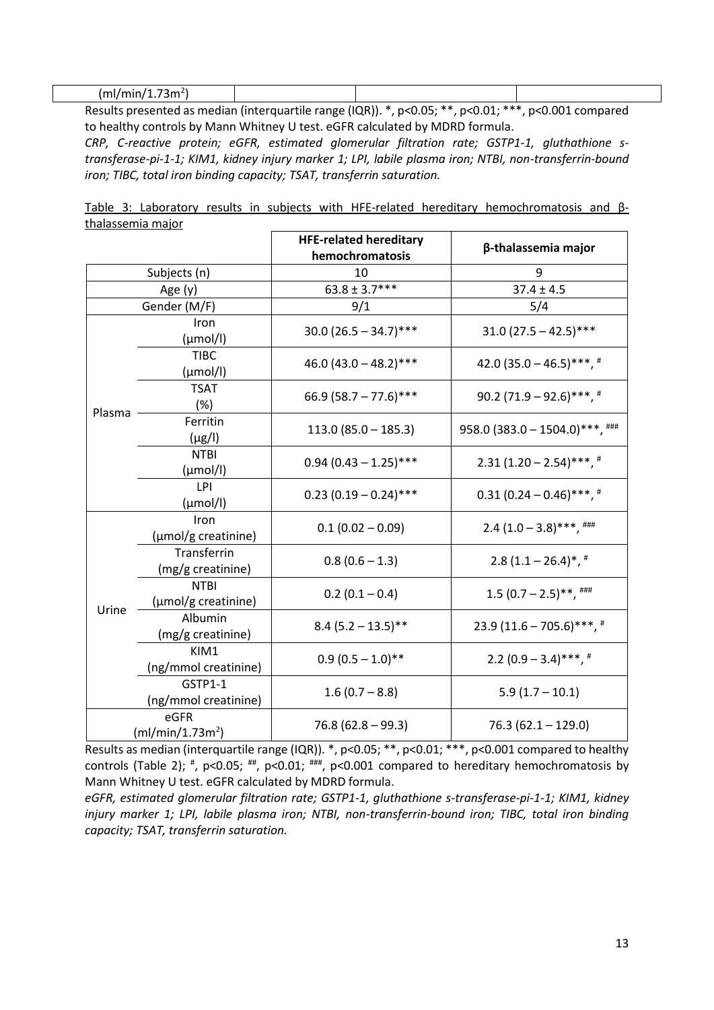| l m<br>. .<br>$\mathbf{r}$<br>1.981.98<br>энн<br>.<br>.<br>--- |  |  |
|----------------------------------------------------------------|--|--|

Results presented as median (interquartile range (IQR)). \*, p<0.05; \*\*, p<0.01; \*\*\*, p<0.001 compared to healthy controls by Mann Whitney U test. eGFR calculated by MDRD formula.

*CRP, C-reactive protein; eGFR, estimated glomerular filtration rate; GSTP1-1, gluthathione stransferase-pi-1-1; KIM1, kidney injury marker 1; LPI, labile plasma iron; NTBI, non-transferrin-bound iron; TIBC, total iron binding capacity; TSAT, transferrin saturation.*

|  |                   |  |  |  | Table 3: Laboratory results in subjects with HFE-related hereditary hemochromatosis and $\beta$ - |  |
|--|-------------------|--|--|--|---------------------------------------------------------------------------------------------------|--|
|  | thalassemia major |  |  |  |                                                                                                   |  |

|                                      |                                     | <b>HFE-related hereditary</b><br>hemochromatosis | β-thalassemia major                              |
|--------------------------------------|-------------------------------------|--------------------------------------------------|--------------------------------------------------|
| Subjects (n)                         |                                     | 10                                               | q                                                |
| Age $(y)$                            |                                     | $63.8 \pm 3.7***$                                | $37.4 \pm 4.5$                                   |
|                                      | Gender (M/F)                        | 9/1                                              | 5/4                                              |
| Plasma                               | Iron<br>$(\mu \text{mol/l})$        | $30.0(26.5 - 34.7)$ ***                          | $31.0(27.5 - 42.5)$ ***                          |
|                                      | <b>TIBC</b><br>$(\mu \text{mol/l})$ | 46.0 $(43.0 - 48.2)$ ***                         | 42.0 $(35.0 - 46.5)$ ***, #                      |
|                                      | <b>TSAT</b><br>(%)                  | 66.9 $(58.7 - 77.6)$ ***                         | 90.2 $(71.9 - 92.6)$ ***, #                      |
|                                      | Ferritin<br>$(\mu g/I)$             | $113.0 (85.0 - 185.3)$                           | $958.0$ (383.0 - 1504.0)***, $\frac{4444}{1000}$ |
|                                      | <b>NTBI</b><br>$(\mu \text{mol/l})$ | $0.94$ (0.43 - 1.25)***                          | $2.31(1.20-2.54)$ ***, #                         |
|                                      | LPI<br>$(\mu \text{mol/l})$         | $0.23$ (0.19 – 0.24)***                          | $0.31(0.24-0.46)$ ***, #                         |
|                                      | Iron<br>(µmol/g creatinine)         | $0.1(0.02 - 0.09)$                               | $2.4(1.0-3.8)$ ***, ###                          |
| Urine                                | Transferrin<br>(mg/g creatinine)    | $0.8(0.6 - 1.3)$                                 | $2.8(1.1-26.4)$ *, *                             |
|                                      | <b>NTBI</b><br>(µmol/g creatinine)  | $0.2(0.1 - 0.4)$                                 | $1.5(0.7 - 2.5)$ **, ###                         |
|                                      | Albumin<br>(mg/g creatinine)        | $8.4(5.2 - 13.5)$ **                             | $23.9(11.6 - 705.6)***$ , #                      |
|                                      | KIM1<br>(ng/mmol creatinine)        | $0.9(0.5 - 1.0)$ **                              | $2.2(0.9 - 3.4)$ ***, #                          |
|                                      | GSTP1-1<br>(ng/mmol creatinine)     | $1.6(0.7 - 8.8)$                                 | $5.9(1.7 - 10.1)$                                |
| eGFR<br>(mI/min/1.73m <sup>2</sup> ) |                                     | $76.8(62.8 - 99.3)$                              | $76.3(62.1 - 129.0)$                             |

Results as median (interquartile range (IQR)). \*, p<0.05; \*\*, p<0.01; \*\*\*, p<0.001 compared to healthy controls (Table 2);  $^*$ , p<0.05;  $^{**}$ , p<0.01;  $^{***}$ , p<0.001 compared to hereditary hemochromatosis by Mann Whitney U test. eGFR calculated by MDRD formula.

*eGFR, estimated glomerular filtration rate; GSTP1-1, gluthathione s-transferase-pi-1-1; KIM1, kidney injury marker 1; LPI, labile plasma iron; NTBI, non-transferrin-bound iron; TIBC, total iron binding capacity; TSAT, transferrin saturation.*